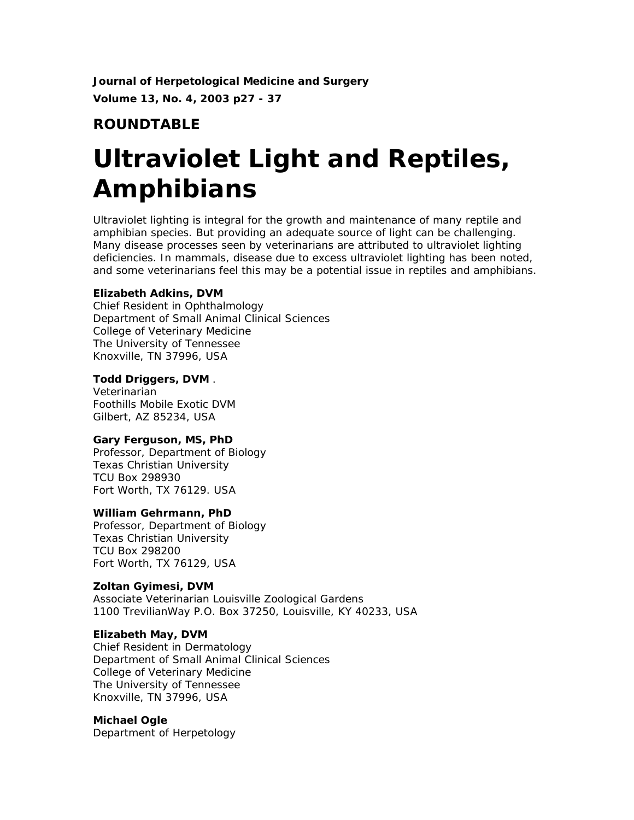**Journal of Herpetological Medicine and Surgery Volume 13, No. 4, 2003 p27 - 37**

# **ROUNDTABLE**

# **Ultraviolet Light and Reptiles, Amphibians**

Ultraviolet lighting is integral for the growth and maintenance of many reptile and amphibian species. But providing an adequate source of light can be challenging. Many disease processes seen by veterinarians are attributed to ultraviolet lighting deficiencies. In mammals, disease due to excess ultraviolet lighting has been noted, and some veterinarians feel this may be a potential issue in reptiles and amphibians.

# **Elizabeth Adkins, DVM**

Chief Resident in Ophthalmology Department of Small Animal Clinical Sciences College of Veterinary Medicine The University of Tennessee Knoxville, TN 37996, USA

# **Todd Driggers, DVM** .

Veterinarian Foothills Mobile Exotic DVM Gilbert, AZ 85234, USA

# **Gary Ferguson, MS, PhD**

Professor, Department of Biology Texas Christian University TCU Box 298930 Fort Worth, TX 76129. USA

# **William Gehrmann, PhD**

Professor, Department of Biology Texas Christian University TCU Box 298200 Fort Worth, TX 76129, USA

# **Zoltan Gyimesi, DVM**

Associate Veterinarian Louisville Zoological Gardens 1100 TrevilianWay P.O. Box 37250, Louisville, KY 40233, USA

# **Elizabeth May, DVM**

Chief Resident in Dermatology Department of Small Animal Clinical Sciences College of Veterinary Medicine The University of Tennessee Knoxville, TN 37996, USA

#### **Michael Ogle**

Department of Herpetology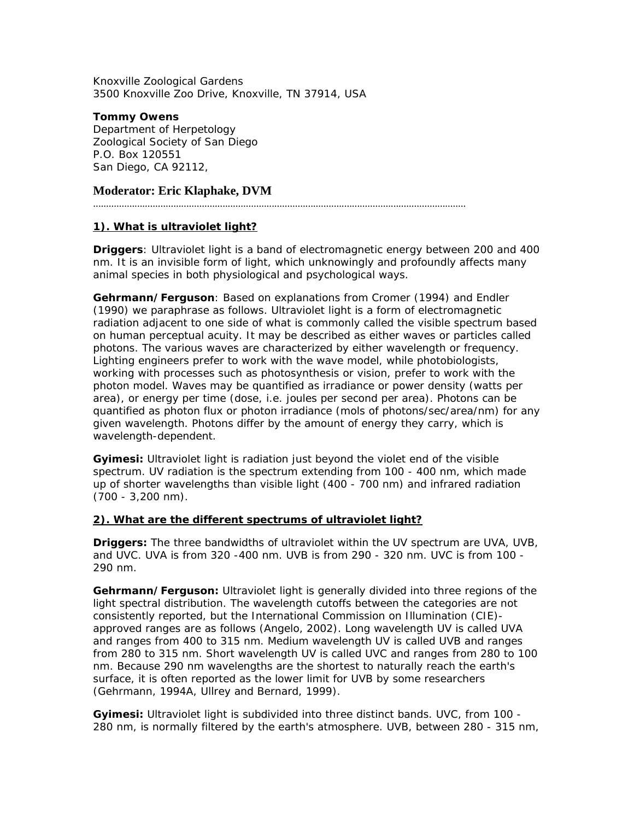Knoxville Zoological Gardens 3500 Knoxville Zoo Drive, Knoxville, TN 37914, USA

**Tommy Owens**  Department of Herpetology Zoological Society of San Diego P.O. Box 120551 San Diego, CA 92112,

## **Moderator: Eric Klaphake, DVM**

................................................................................................................................................

#### **1). What is ultraviolet light?**

**Driggers**: Ultraviolet light is a band of electromagnetic energy between 200 and 400 nm. It is an invisible form of light, which unknowingly and profoundly affects many animal species in both physiological and psychological ways.

**Gehrmann/Ferguson**: Based on explanations from Cromer (1994) and Endler (1990) we paraphrase as follows. Ultraviolet light is a form of electromagnetic radiation adjacent to one side of what is commonly called the visible spectrum based on human perceptual acuity. It may be described as either waves or particles called photons. The various waves are characterized by either wavelength or frequency. Lighting engineers prefer to work with the wave model, while photobiologists, working with processes such as photosynthesis or vision, prefer to work with the photon model. Waves may be quantified as irradiance or power density (watts per area), or energy per time (dose, i.e. joules per second per area). Photons can be quantified as photon flux or photon irradiance (mols of photons/sec/area/nm) for any given wavelength. Photons differ by the amount of energy they carry, which is wavelength-dependent.

**Gyimesi:** Ultraviolet light is radiation just beyond the violet end of the visible spectrum. UV radiation is the spectrum extending from 100 - 400 nm, which made up of shorter wavelengths than visible light (400 - 700 nm) and infrared radiation (700 - 3,200 nm).

#### **2). What are the different spectrums of ultraviolet light?**

**Driggers:** The three bandwidths of ultraviolet within the UV spectrum are UVA, UVB, and UVC. UVA is from 320 -400 nm. UVB is from 290 - 320 nm. UVC is from 100 - 290 nm.

**Gehrmann/Ferguson:** Ultraviolet light is generally divided into three regions of the light spectral distribution. The wavelength cutoffs between the categories are not consistently reported, but the International Commission on Illumination (CIE) approved ranges are as follows (Angelo, 2002). Long wavelength UV is called UVA and ranges from 400 to 315 nm. Medium wavelength UV is called UVB and ranges from 280 to 315 nm. Short wavelength UV is called UVC and ranges from 280 to 100 nm. Because 290 nm wavelengths are the shortest to naturally reach the earth's surface, it is often reported as the lower limit for UVB by some researchers (Gehrmann, 1994A, Ullrey and Bernard, 1999).

**Gyimesi:** Ultraviolet light is subdivided into three distinct bands. UVC, from 100 - 280 nm, is normally filtered by the earth's atmosphere. UVB, between 280 - 315 nm,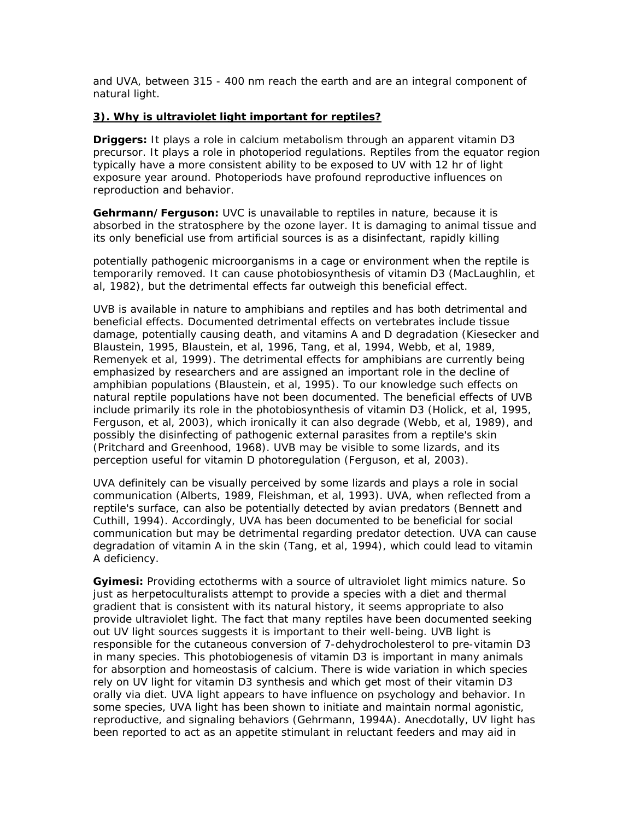and UVA, between 315 - 400 nm reach the earth and are an integral component of natural light.

#### **3). Why is ultraviolet light important for reptiles?**

**Driggers:** It plays a role in calcium metabolism through an apparent vitamin D3 precursor. It plays a role in photoperiod regulations. Reptiles from the equator region typically have a more consistent ability to be exposed to UV with 12 hr of light exposure year around. Photoperiods have profound reproductive influences on reproduction and behavior.

**Gehrmann/Ferguson:** UVC is unavailable to reptiles in nature, because it is absorbed in the stratosphere by the ozone layer. It is damaging to animal tissue and its only beneficial use from artificial sources is as a disinfectant, rapidly killing

potentially pathogenic microorganisms in a cage or environment when the reptile is temporarily removed. It can cause photobiosynthesis of vitamin D3 (MacLaughlin, *et al,* 1982), but the detrimental effects far outweigh this beneficial effect.

UVB is available in nature to amphibians and reptiles and has both detrimental and beneficial effects. Documented detrimental effects on vertebrates include tissue damage, potentially causing death, and vitamins A and D degradation (Kiesecker and Blaustein, 1995, Blaustein, *et al,* 1996, Tang, *et al,* 1994, Webb, *et al,* 1989, Remenyek *et al,* 1999). The detrimental effects for amphibians are currently being emphasized by researchers and are assigned an important role in the decline of amphibian populations (Blaustein, *et al,* 1995). To our knowledge such effects on natural reptile populations have not been documented. The beneficial effects of UVB include primarily its role in the photobiosynthesis of vitamin D3 (Holick, *et al,* 1995, Ferguson, *et al,* 2003), which ironically it can also degrade (Webb, *et al,* 1989), and possibly the disinfecting of pathogenic external parasites from a reptile's skin (Pritchard and Greenhood, 1968). UVB may be visible to some lizards, and its perception useful for vitamin D photoregulation (Ferguson, *et al,* 2003).

UVA definitely can be visually perceived by some lizards and plays a role in social communication (Alberts, 1989, Fleishman, *et al,* 1993). UVA, when reflected from a reptile's surface, can also be potentially detected by avian predators (Bennett and Cuthill, 1994). Accordingly, UVA has been documented to be beneficial for social communication but may be detrimental regarding predator detection. UVA can cause degradation of vitamin A in the skin (Tang, *et al,* 1994), which could lead to vitamin A deficiency.

**Gyimesi:** Providing ectotherms with a source of ultraviolet light mimics nature. So just as herpetoculturalists attempt to provide a species with a diet and thermal gradient that is consistent with its natural history, it seems appropriate to also provide ultraviolet light. The fact that many reptiles have been documented seeking out UV light sources suggests it is important to their well-being. UVB light is responsible for the cutaneous conversion of 7-dehydrocholesterol to pre-vitamin D3 in many species. This photobiogenesis of vitamin D3 is important in many animals for absorption and homeostasis of calcium. There is wide variation in which species rely on UV light for vitamin D3 synthesis and which get most of their vitamin D3 orally via diet. UVA light appears to have influence on psychology and behavior. In some species, UVA light has been shown to initiate and maintain normal agonistic, reproductive, and signaling behaviors (Gehrmann, 1994A). Anecdotally, UV light has been reported to act as an appetite stimulant in reluctant feeders and may aid in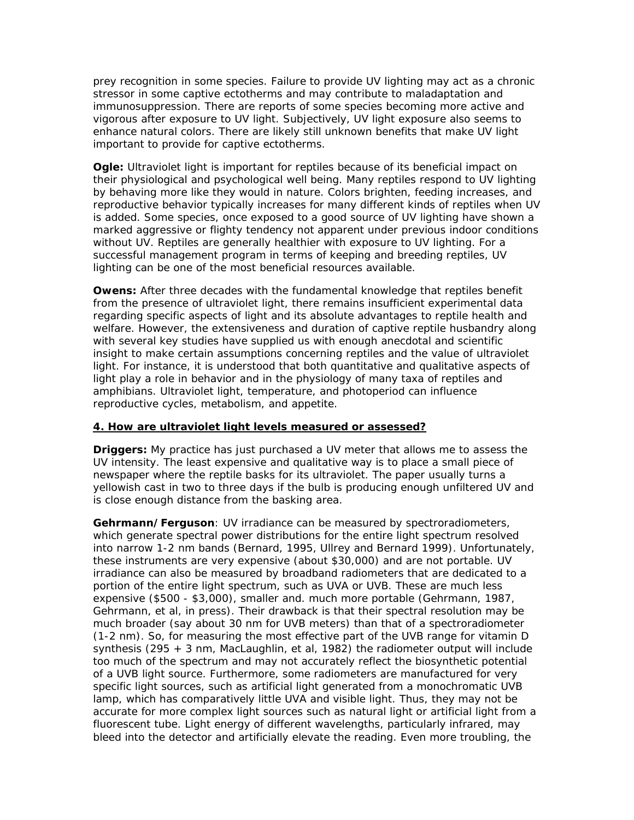prey recognition in some species. Failure to provide UV lighting may act as a chronic stressor in some captive ectotherms and may contribute to maladaptation and immunosuppression. There are reports of some species becoming more active and vigorous after exposure to UV light. Subjectively, UV light exposure also seems to enhance natural colors. There are likely still unknown benefits that make UV light important to provide for captive ectotherms.

**Ogle:** Ultraviolet light is important for reptiles because of its beneficial impact on their physiological and psychological well being. Many reptiles respond to UV lighting by behaving more like they would in nature. Colors brighten, feeding increases, and reproductive behavior typically increases for many different kinds of reptiles when UV is added. Some species, once exposed to a good source of UV lighting have shown a marked aggressive or flighty tendency not apparent under previous indoor conditions without UV. Reptiles are generally healthier with exposure to UV lighting. For a successful management program in terms of keeping and breeding reptiles, UV lighting can be one of the most beneficial resources available.

**Owens:** After three decades with the fundamental knowledge that reptiles benefit from the presence of ultraviolet light, there remains insufficient experimental data regarding specific aspects of light and its absolute advantages to reptile health and welfare. However, the extensiveness and duration of captive reptile husbandry along with several key studies have supplied us with enough anecdotal and scientific insight to make certain assumptions concerning reptiles and the value of ultraviolet light. For instance, it is understood that both quantitative and qualitative aspects of light play a role in behavior and in the physiology of many taxa of reptiles and amphibians. Ultraviolet light, temperature, and photoperiod can influence reproductive cycles, metabolism, and appetite.

#### **4. How are ultraviolet light levels measured or assessed?**

**Driggers:** My practice has just purchased a UV meter that allows me to assess the UV intensity. The least expensive and qualitative way is to place a small piece of newspaper where the reptile basks for its ultraviolet. The paper usually turns a yellowish cast in two to three days if the bulb is producing enough unfiltered UV and is close enough distance from the basking area.

**Gehrmann/Ferguson**: UV irradiance can be measured by spectroradiometers, which generate spectral power distributions for the entire light spectrum resolved into narrow 1-2 nm bands (Bernard, 1995, Ullrey and Bernard 1999). Unfortunately, these instruments are very expensive (about \$30,000) and are not portable. UV irradiance can also be measured by broadband radiometers that are dedicated to a portion of the entire light spectrum, such as UVA or UVB. These are much less expensive (\$500 - \$3,000), smaller and. much more portable (Gehrmann, 1987, Gehrmann, *et al,* in press). Their drawback is that their spectral resolution may be much broader (say about 30 nm for UVB meters) than that of a spectroradiometer (1-2 nm). So, for measuring the most effective part of the UVB range for vitamin D synthesis (295 + 3 nm, MacLaughlin, *et al,* 1982) the radiometer output will include too much of the spectrum and may not accurately reflect the biosynthetic potential of a UVB light source. Furthermore, some radiometers are manufactured for very specific light sources, such as artificial light generated from a monochromatic UVB lamp, which has comparatively little UVA and visible light. Thus, they may not be accurate for more complex light sources such as natural light or artificial light from a fluorescent tube. Light energy of different wavelengths, particularly infrared, may bleed into the detector and artificially elevate the reading. Even more troubling, the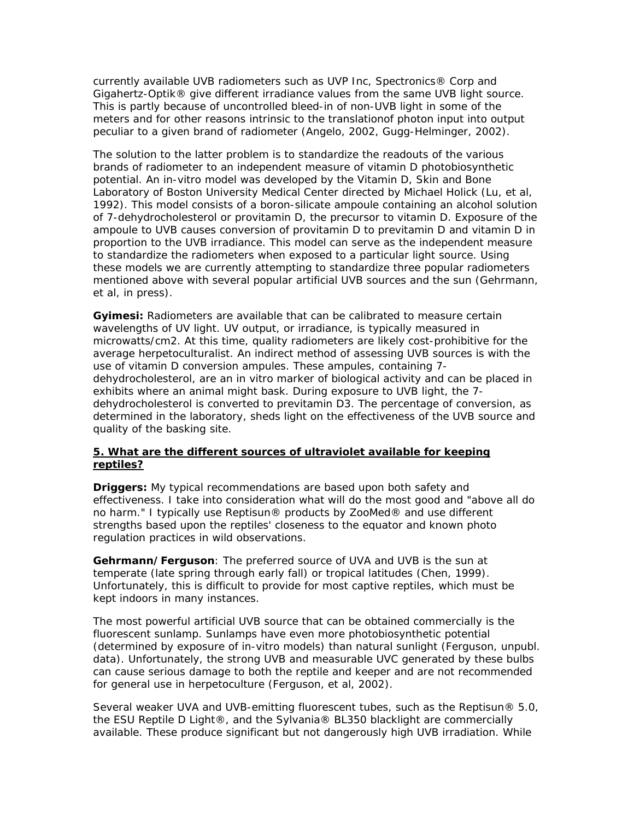currently available UVB radiometers such as UVP Inc, Spectronics® Corp and Gigahertz-Optik® give different irradiance values from the same UVB light source. This is partly because of uncontrolled bleed-in of non-UVB light in some of the meters and for other reasons intrinsic to the translationof photon input into output peculiar to a given brand of radiometer (Angelo, 2002, Gugg-Helminger, 2002).

The solution to the latter problem is to standardize the readouts of the various brands of radiometer to an independent measure of vitamin D photobiosynthetic potential. An in-vitro model was developed by the Vitamin D, Skin and Bone Laboratory of Boston University Medical Center directed by Michael Holick (Lu, *et al,*  1992). This model consists of a boron-silicate ampoule containing an alcohol solution of 7-dehydrocholesterol or provitamin D, the precursor to vitamin D. Exposure of the ampoule to UVB causes conversion of provitamin D to previtamin D and vitamin D in proportion to the UVB irradiance. This model can serve as the independent measure to standardize the radiometers when exposed to a particular light source. Using these models we are currently attempting to standardize three popular radiometers mentioned above with several popular artificial UVB sources and the sun (Gehrmann, *et al,* in press).

**Gyimesi:** Radiometers are available that can be calibrated to measure certain wavelengths of UV light. UV output, or irradiance, is typically measured in microwatts/cm2. At this time, quality radiometers are likely cost-prohibitive for the average herpetoculturalist. An indirect method of assessing UVB sources is with the use of vitamin D conversion ampules. These ampules, containing 7 dehydrocholesterol, are an in vitro marker of biological activity and can be placed in exhibits where an animal might bask. During exposure to UVB light, the 7 dehydrocholesterol is converted to previtamin D3. The percentage of conversion, as determined in the laboratory, sheds light on the effectiveness of the UVB source and quality of the basking site.

#### **5. What are the different sources of ultraviolet available for keeping reptiles?**

**Driggers:** My typical recommendations are based upon both safety and effectiveness. I take into consideration what will do the most good and "above all do no harm." I typically use Reptisun® products by ZooMed® and use different strengths based upon the reptiles' closeness to the equator and known photo regulation practices in wild observations.

**Gehrmann/Ferguson**: The preferred source of UVA and UVB is the sun at temperate (late spring through early fall) or tropical latitudes (Chen, 1999). Unfortunately, this is difficult to provide for most captive reptiles, which must be kept indoors in many instances.

The most powerful artificial UVB source that can be obtained commercially is the fluorescent sunlamp. Sunlamps have even more photobiosynthetic potential (determined by exposure of in-vitro models) than natural sunlight (Ferguson, unpubl. data). Unfortunately, the strong UVB and measurable UVC generated by these bulbs can cause serious damage to both the reptile and keeper and are not recommended for general use in herpetoculture (Ferguson, *et al,* 2002).

Several weaker UVA and UVB-emitting fluorescent tubes, such as the Reptisun® 5.0, the ESU Reptile D Light®, and the Sylvania® BL350 blacklight are commercially available. These produce significant but not dangerously high UVB irradiation. While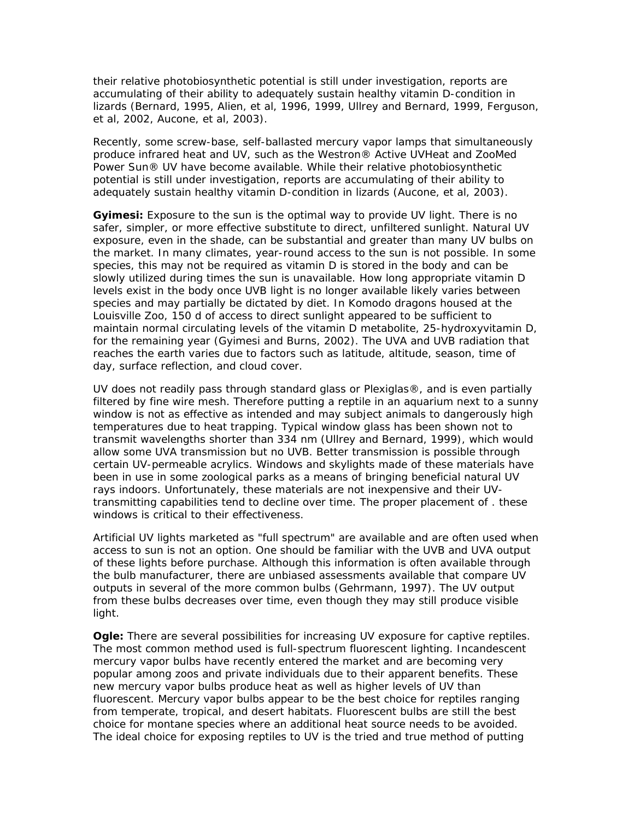their relative photobiosynthetic potential is still under investigation, reports are accumulating of their ability to adequately sustain healthy vitamin D-condition in lizards (Bernard, 1995, Alien, *et al,* 1996, 1999, Ullrey and Bernard, 1999, Ferguson, *et al,* 2002, Aucone, *et al,* 2003).

Recently, some screw-base, self-ballasted mercury vapor lamps that simultaneously produce infrared heat and UV, such as the Westron® Active UVHeat and ZooMed Power Sun® UV have become available. While their relative photobiosynthetic potential is still under investigation, reports are accumulating of their ability to adequately sustain healthy vitamin D-condition in lizards (Aucone, *et al,* 2003).

**Gyimesi:** Exposure to the sun is the optimal way to provide UV light. There is no safer, simpler, or more effective substitute to direct, unfiltered sunlight. Natural UV exposure, even in the shade, can be substantial and greater than many UV bulbs on the market. In many climates, year-round access to the sun is not possible. In some species, this may not be required as vitamin D is stored in the body and can be slowly utilized during times the sun is unavailable. How long appropriate vitamin D levels exist in the body once UVB light is no longer available likely varies between species and may partially be dictated by diet. In Komodo dragons housed at the Louisville Zoo, 150 d of access to direct sunlight appeared to be sufficient to maintain normal circulating levels of the vitamin D metabolite, 25-hydroxyvitamin D, for the remaining year (Gyimesi and Burns, 2002). The UVA and UVB radiation that reaches the earth varies due to factors such as latitude, altitude, season, time of day, surface reflection, and cloud cover.

UV does not readily pass through standard glass or Plexiglas®, and is even partially filtered by fine wire mesh. Therefore putting a reptile in an aquarium next to a sunny window is not as effective as intended and may subject animals to dangerously high temperatures due to heat trapping. Typical window glass has been shown not to transmit wavelengths shorter than 334 nm (Ullrey and Bernard, 1999), which would allow some UVA transmission but no UVB. Better transmission is possible through certain UV-permeable acrylics. Windows and skylights made of these materials have been in use in some zoological parks as a means of bringing beneficial natural UV rays indoors. Unfortunately, these materials are not inexpensive and their UVtransmitting capabilities tend to decline over time. The proper placement of . these windows is critical to their effectiveness.

Artificial UV lights marketed as "full spectrum" are available and are often used when access to sun is not an option. One should be familiar with the UVB and UVA output of these lights before purchase. Although this information is often available through the bulb manufacturer, there are unbiased assessments available that compare UV outputs in several of the more common bulbs (Gehrmann, 1997). The UV output from these bulbs decreases over time, even though they may still produce visible light.

**Ogle:** There are several possibilities for increasing UV exposure for captive reptiles. The most common method used is full-spectrum fluorescent lighting. Incandescent mercury vapor bulbs have recently entered the market and are becoming very popular among zoos and private individuals due to their apparent benefits. These new mercury vapor bulbs produce heat as well as higher levels of UV than fluorescent. Mercury vapor bulbs appear to be the best choice for reptiles ranging from temperate, tropical, and desert habitats. Fluorescent bulbs are still the best choice for montane species where an additional heat source needs to be avoided. The ideal choice for exposing reptiles to UV is the tried and true method of putting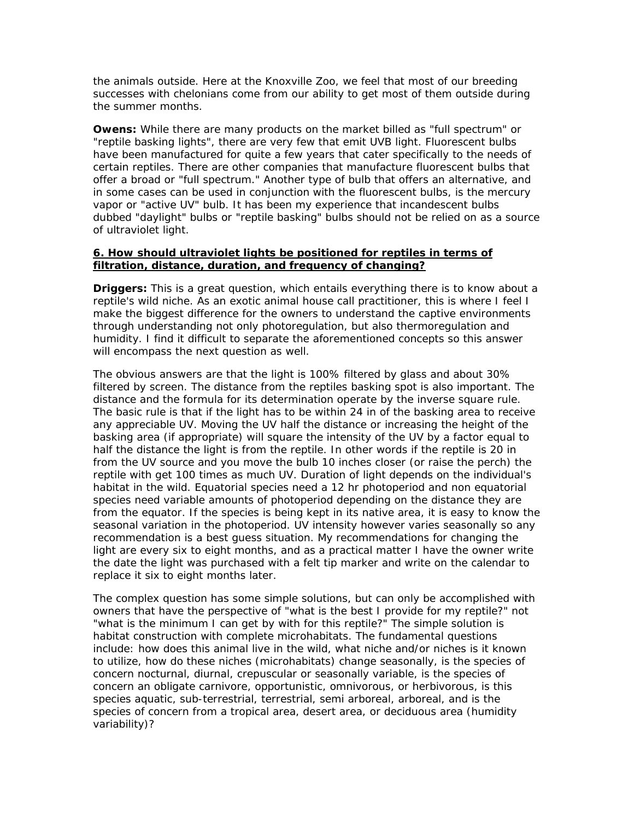the animals outside. Here at the Knoxville Zoo, we feel that most of our breeding successes with chelonians come from our ability to get most of them outside during the summer months.

**Owens:** While there are many products on the market billed as "full spectrum" or "reptile basking lights", there are very few that emit UVB light. Fluorescent bulbs have been manufactured for quite a few years that cater specifically to the needs of certain reptiles. There are other companies that manufacture fluorescent bulbs that offer a broad or "full spectrum." Another type of bulb that offers an alternative, and in some cases can be used in conjunction with the fluorescent bulbs, is the mercury vapor or "active UV" bulb. It has been my experience that incandescent bulbs dubbed "daylight" bulbs or "reptile basking" bulbs should not be relied on as a source of ultraviolet light.

#### **6. How should ultraviolet lights be positioned for reptiles in terms of filtration, distance, duration, and frequency of changing?**

**Driggers:** This is a great question, which entails everything there is to know about a reptile's wild niche. As an exotic animal house call practitioner, this is where I feel I make the biggest difference for the owners to understand the captive environments through understanding not only photoregulation, but also thermoregulation and humidity. I find it difficult to separate the aforementioned concepts so this answer will encompass the next question as well.

The obvious answers are that the light is 100% filtered by glass and about 30% filtered by screen. The distance from the reptiles basking spot is also important. The distance and the formula for its determination operate by the inverse square rule. The basic rule is that if the light has to be within 24 in of the basking area to receive any appreciable UV. Moving the UV half the distance or increasing the height of the basking area (if appropriate) will square the intensity of the UV by a factor equal to half the distance the light is from the reptile. In other words if the reptile is 20 in from the UV source and you move the bulb 10 inches closer (or raise the perch) the reptile with get 100 times as much UV. Duration of light depends on the individual's habitat in the wild. Equatorial species need a 12 hr photoperiod and non equatorial species need variable amounts of photoperiod depending on the distance they are from the equator. If the species is being kept in its native area, it is easy to know the seasonal variation in the photoperiod. UV intensity however varies seasonally so any recommendation is a best guess situation. My recommendations for changing the light are every six to eight months, and as a practical matter I have the owner write the date the light was purchased with a felt tip marker and write on the calendar to replace it six to eight months later.

The complex question has some simple solutions, but can only be accomplished with owners that have the perspective of "what is the best I provide for my reptile?" not "what is the minimum I can get by with for this reptile?" The simple solution is habitat construction with complete microhabitats. The fundamental questions include: how does this animal live in the wild, what niche and/or niches is it known to utilize, how do these niches (microhabitats) change seasonally, is the species of concern nocturnal, diurnal, crepuscular or seasonally variable, is the species of concern an obligate carnivore, opportunistic, omnivorous, or herbivorous, is this species aquatic, sub-terrestrial, terrestrial, semi arboreal, arboreal, and is the species of concern from a tropical area, desert area, or deciduous area (humidity variability)?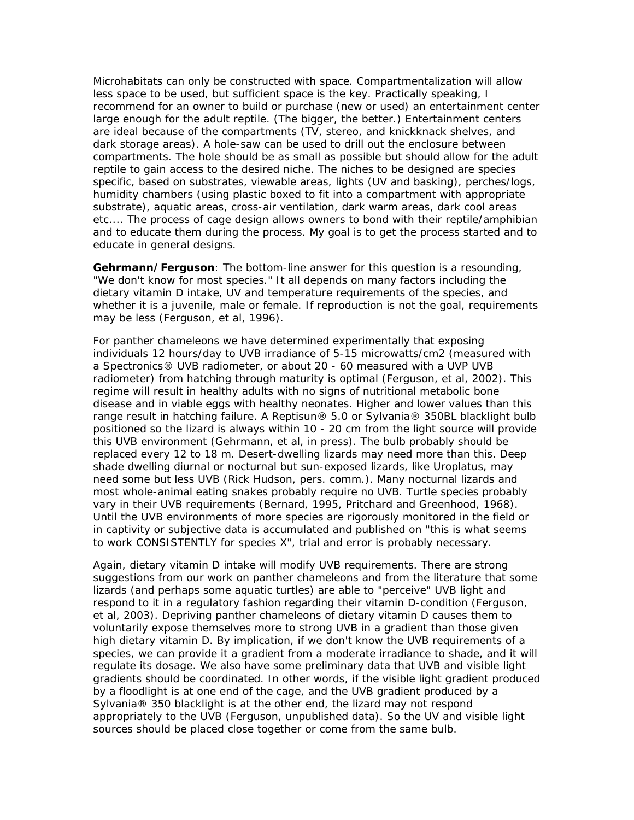Microhabitats can only be constructed with space. Compartmentalization will allow less space to be used, but sufficient space is the key. Practically speaking, I recommend for an owner to build or purchase (new or used) an entertainment center large enough for the adult reptile. (The bigger, the better.) Entertainment centers are ideal because of the compartments (TV, stereo, and knickknack shelves, and dark storage areas). A hole-saw can be used to drill out the enclosure between compartments. The hole should be as small as possible but should allow for the adult reptile to gain access to the desired niche. The niches to be designed are species specific, based on substrates, viewable areas, lights (UV and basking), perches/logs, humidity chambers (using plastic boxed to fit into a compartment with appropriate substrate), aquatic areas, cross-air ventilation, dark warm areas, dark cool areas etc.... The process of cage design allows owners to bond with their reptile/amphibian and to educate them during the process. My goal is to get the process started and to educate in general designs.

**Gehrmann/Ferguson**: The bottom-line answer for this question is a resounding, "We don't know for most species." It all depends on many factors including the dietary vitamin D intake, UV and temperature requirements of the species, and whether it is a juvenile, male or female. If reproduction is not the goal, requirements may be less (Ferguson, *et al,* 1996).

For panther chameleons we have determined experimentally that exposing individuals 12 hours/day to UVB irradiance of 5-15 microwatts/cm2 (measured with a Spectronics® UVB radiometer, or about 20 - 60 measured with a UVP UVB radiometer) from hatching through maturity is optimal (Ferguson, *et al,* 2002). This regime will result in healthy adults with no signs of nutritional metabolic bone disease and in viable eggs with healthy neonates. Higher and lower values than this range result in hatching failure. A Reptisun® 5.0 or Sylvania® 350BL blacklight bulb positioned so the lizard is always within 10 - 20 cm from the light source will provide this UVB environment (Gehrmann, *et al,* in press). The bulb probably should be replaced every 12 to 18 m. Desert-dwelling lizards may need more than this. Deep shade dwelling diurnal or nocturnal but sun-exposed lizards, like *Uroplatus,* may need some but less UVB (Rick Hudson, pers. comm.). Many nocturnal lizards and most whole-animal eating snakes probably require no UVB. Turtle species probably vary in their UVB requirements (Bernard, 1995, Pritchard and Greenhood, 1968). Until the UVB environments of more species are rigorously monitored in the field or in captivity or subjective data is accumulated and published on "this is what seems to work CONSISTENTLY for species X", trial and error is probably necessary.

Again, dietary vitamin D intake will modify UVB requirements. There are strong suggestions from our work on panther chameleons and from the literature that some lizards (and perhaps some aquatic turtles) are able to "perceive" UVB light and respond to it in a regulatory fashion regarding their vitamin D-condition (Ferguson, *et al,* 2003). Depriving panther chameleons of dietary vitamin D causes them to voluntarily expose themselves more to strong UVB in a gradient than those given high dietary vitamin D. By implication, if we don't know the UVB requirements of a species, we can provide it a gradient from a moderate irradiance to shade, and it will regulate its dosage. We also have some preliminary data that UVB and visible light gradients should be coordinated. In other words, if the visible light gradient produced by a floodlight is at one end of the cage, and the UVB gradient produced by a Sylvania® 350 blacklight is at the other end, the lizard may not respond appropriately to the UVB (Ferguson, unpublished data). So the UV and visible light sources should be placed close together or come from the same bulb.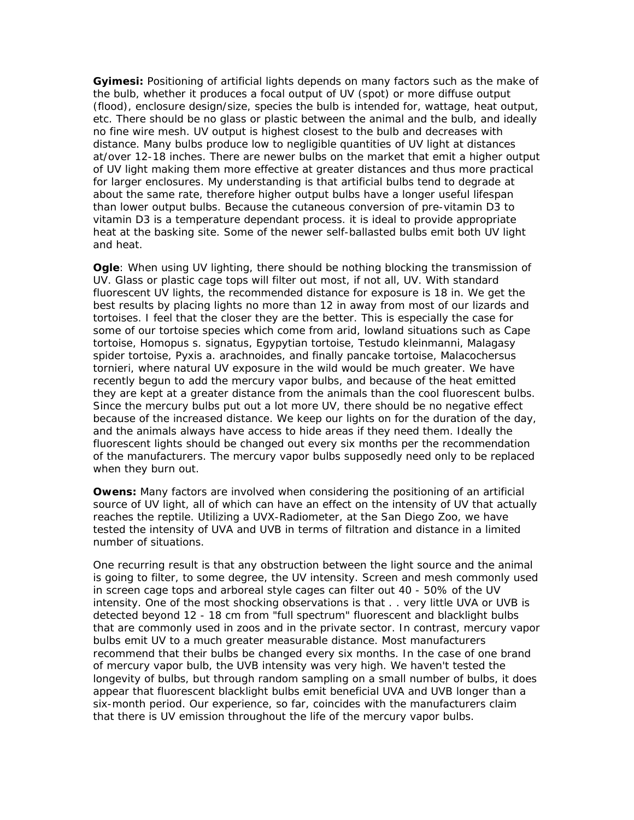**Gyimesi:** Positioning of artificial lights depends on many factors such as the make of the bulb, whether it produces a focal output of UV (spot) or more diffuse output (flood), enclosure design/size, species the bulb is intended for, wattage, heat output, etc. There should be no glass or plastic between the animal and the bulb, and ideally no fine wire mesh. UV output is highest closest to the bulb and decreases with distance. Many bulbs produce low to negligible quantities of UV light at distances at/over 12-18 inches. There are newer bulbs on the market that emit a higher output of UV light making them more effective at greater distances and thus more practical for larger enclosures. My understanding is that artificial bulbs tend to degrade at about the same rate, therefore higher output bulbs have a longer useful lifespan than lower output bulbs. Because the cutaneous conversion of pre-vitamin D3 to vitamin D3 is a temperature dependant process. it is ideal to provide appropriate heat at the basking site. Some of the newer self-ballasted bulbs emit both UV light and heat.

**Ogle**: When using UV lighting, there should be nothing blocking the transmission of UV. Glass or plastic cage tops will filter out most, if not all, UV. With standard fluorescent UV lights, the recommended distance for exposure is 18 in. We get the best results by placing lights no more than 12 in away from most of our lizards and tortoises. I feel that the closer they are the better. This is especially the case for some of our tortoise species which come from arid, lowland situations such as Cape tortoise, *Homopus s. signatus,* Egypytian tortoise, *Testudo kleinmanni,* Malagasy spider tortoise, *Pyxis a. arachnoides,* and finally pancake tortoise, *Malacochersus tornieri,* where natural UV exposure in the wild would be much greater. We have recently begun to add the mercury vapor bulbs, and because of the heat emitted they are kept at a greater distance from the animals than the cool fluorescent bulbs. Since the mercury bulbs put out a lot more UV, there should be no negative effect because of the increased distance. We keep our lights on for the duration of the day, and the animals always have access to hide areas if they need them. Ideally the fluorescent lights should be changed out every six months per the recommendation of the manufacturers. The mercury vapor bulbs supposedly need only to be replaced when they burn out.

**Owens:** Many factors are involved when considering the positioning of an artificial source of UV light, all of which can have an effect on the intensity of UV that actually reaches the reptile. Utilizing a UVX-Radiometer, at the San Diego Zoo, we have tested the intensity of UVA and UVB in terms of filtration and distance in a limited number of situations.

One recurring result is that any obstruction between the light source and the animal is going to filter, to some degree, the UV intensity. Screen and mesh commonly used in screen cage tops and arboreal style cages can filter out 40 - 50% of the UV intensity. One of the most shocking observations is that . . very little UVA or UVB is detected beyond 12 - 18 cm from "full spectrum" fluorescent and blacklight bulbs that are commonly used in zoos and in the private sector. In contrast, mercury vapor bulbs emit UV to a much greater measurable distance. Most manufacturers recommend that their bulbs be changed every six months. In the case of one brand of mercury vapor bulb, the UVB intensity was very high. We haven't tested the longevity of bulbs, but through random sampling on a small number of bulbs, it does appear that fluorescent blacklight bulbs emit beneficial UVA and UVB longer than a six-month period. Our experience, so far, coincides with the manufacturers claim that there is UV emission throughout the life of the mercury vapor bulbs.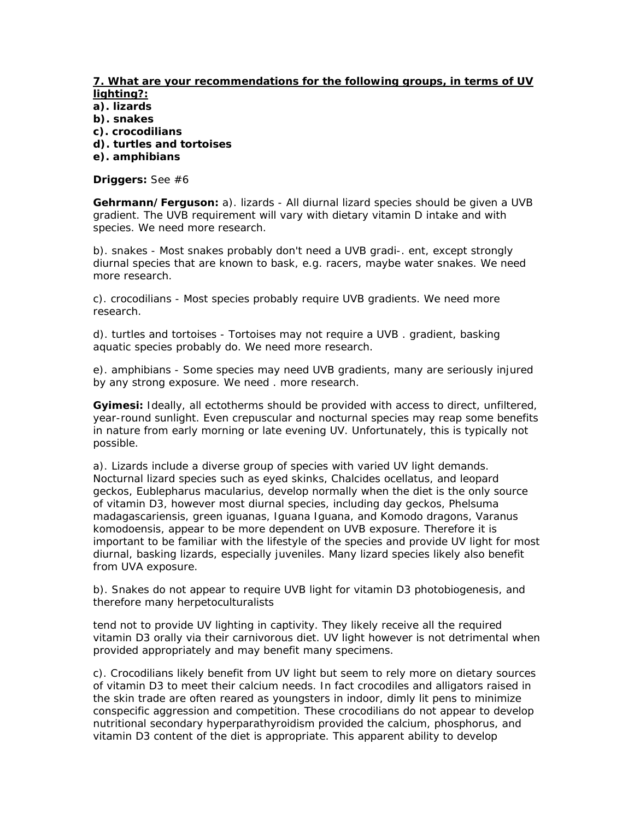#### **7. What are your recommendations for the following groups, in terms of UV lighting?:**

**a). lizards** 

- **b). snakes**
- **c). crocodilians**
- **d). turtles and tortoises**
- **e). amphibians**

**Driggers:** See #6

**Gehrmann/Ferguson:** a). lizards - All diurnal lizard species should be given a UVB gradient. The UVB requirement will vary with dietary vitamin D intake and with species. We need more research.

b). snakes - Most snakes probably don't need a UVB gradi-. ent, except strongly diurnal species that are known to bask, e.g. racers, maybe water snakes. We need more research.

c). crocodilians - Most species probably require UVB gradients. We need more research.

d). turtles and tortoises - Tortoises may not require a UVB . gradient, basking aquatic species probably do. We need more research.

e). amphibians - Some species may need UVB gradients, many are seriously injured by any strong exposure. We need . more research.

**Gyimesi:** Ideally, all ectotherms should be provided with access to direct, unfiltered, year-round sunlight. Even crepuscular and nocturnal species may reap some benefits in nature from early morning or late evening UV. Unfortunately, this is typically not possible.

a). Lizards include a diverse group of species with varied UV light demands. Nocturnal lizard species such as eyed skinks, *Chalcides ocellatus,* and leopard geckos, *Eublepharus macularius,* develop normally when the diet is the only source of vitamin D3, however most diurnal species, including day geckos, *Phelsuma madagascariensis,* green iguanas, *Iguana Iguana,* and Komodo dragons, *Varanus komodoensis,* appear to be more dependent on UVB exposure. Therefore it is important to be familiar with the lifestyle of the species and provide UV light for most diurnal, basking lizards, especially juveniles. Many lizard species likely also benefit from UVA exposure.

b). Snakes do not appear to require UVB light for vitamin D3 photobiogenesis, and therefore many herpetoculturalists

tend not to provide UV lighting in captivity. They likely receive all the required vitamin D3 orally via their carnivorous diet. UV light however is not detrimental when provided appropriately and may benefit many specimens.

c). Crocodilians likely benefit from UV light but seem to rely more on dietary sources of vitamin D3 to meet their calcium needs. In fact crocodiles and alligators raised in the skin trade are often reared as youngsters in indoor, dimly lit pens to minimize conspecific aggression and competition. These crocodilians do not appear to develop nutritional secondary hyperparathyroidism provided the calcium, phosphorus, and vitamin D3 content of the diet is appropriate. This apparent ability to develop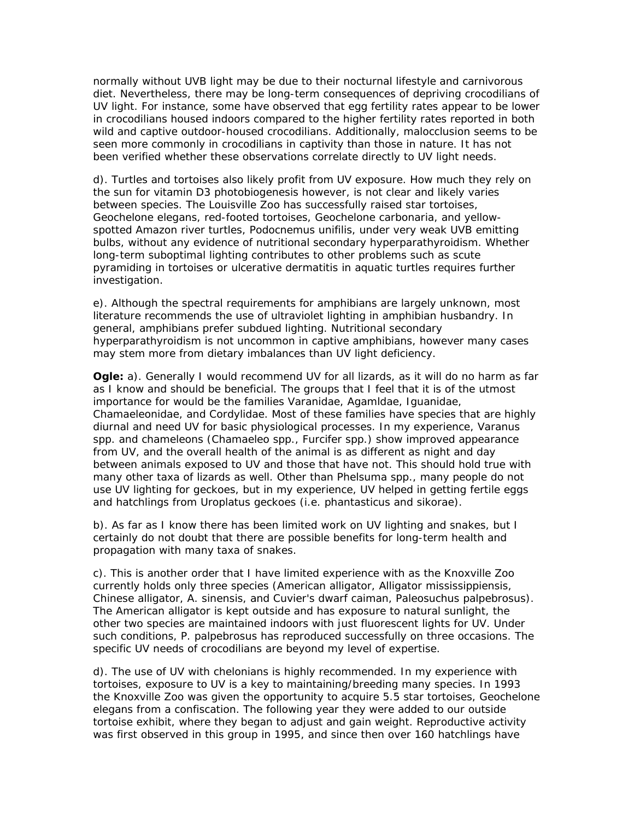normally without UVB light may be due to their nocturnal lifestyle and carnivorous diet. Nevertheless, there may be long-term consequences of depriving crocodilians of UV light. For instance, some have observed that egg fertility rates appear to be lower in crocodilians housed indoors compared to the higher fertility rates reported in both wild and captive outdoor-housed crocodilians. Additionally, malocclusion seems to be seen more commonly in crocodilians in captivity than those in nature. It has not been verified whether these observations correlate directly to UV light needs.

d). Turtles and tortoises also likely profit from UV exposure. How much they rely on the sun for vitamin D3 photobiogenesis however, is not clear and likely varies between species. The Louisville Zoo has successfully raised star tortoises, *Geochelone elegans,* red-footed tortoises, *Geochelone carbonaria,* and yellowspotted Amazon river turtles, *Podocnemus unifilis,* under very weak UVB emitting bulbs, without any evidence of nutritional secondary hyperparathyroidism. Whether long-term suboptimal lighting contributes to other problems such as scute pyramiding in tortoises or ulcerative dermatitis in aquatic turtles requires further investigation.

e). Although the spectral requirements for amphibians are largely unknown, most literature recommends the use of ultraviolet lighting in amphibian husbandry. In general, amphibians prefer subdued lighting. Nutritional secondary hyperparathyroidism is not uncommon in captive amphibians, however many cases may stem more from dietary imbalances than UV light deficiency.

**Ogle:** a). Generally I would recommend UV for all lizards, as it will do no harm as far as I know and should be beneficial. The groups that I feel that it is of the utmost importance for would be the families *Varanidae, Agamldae, Iguanidae, Chamaeleonidae,* and *Cordylidae.* Most of these families have species that are highly diurnal and need UV for basic physiological processes. In my experience, *Varanus*  spp. and chameleons *(Chamaeleo* spp., *Furcifer* spp.) show improved appearance from UV, and the overall health of the animal is as different as night and day between animals exposed to UV and those that have not. This should hold true with many other taxa of lizards as well. Other than *Phelsuma* spp., many people do not use UV lighting for geckoes, but in my experience, UV helped in getting fertile eggs and hatchlings from *Uroplatus* geckoes (i.e. *phantasticus* and *sikorae).*

b). As far as I know there has been limited work on UV lighting and snakes, but I certainly do not doubt that there are possible benefits for long-term health and propagation with many taxa of snakes.

c). This is another order that I have limited experience with as the Knoxville Zoo currently holds only three species (American alligator, *Alligator mississippiensis,*  Chinese alligator, *A. sinensis,* and Cuvier's dwarf caiman, *Paleosuchus palpebrosus).*  The American alligator is kept outside and has exposure to natural sunlight, the other two species are maintained indoors with just fluorescent lights for UV. Under such conditions, *P. palpebrosus* has reproduced successfully on three occasions. The specific UV needs of crocodilians are beyond my level of expertise.

d). The use of UV with chelonians is highly recommended. In my experience with tortoises, exposure to UV is a key to maintaining/breeding many species. In 1993 the Knoxville Zoo was given the opportunity to acquire 5.5 star tortoises, *Geochelone elegans* from a confiscation. The following year they were added to our outside tortoise exhibit, where they began to adjust and gain weight. Reproductive activity was first observed in this group in 1995, and since then over 160 hatchlings have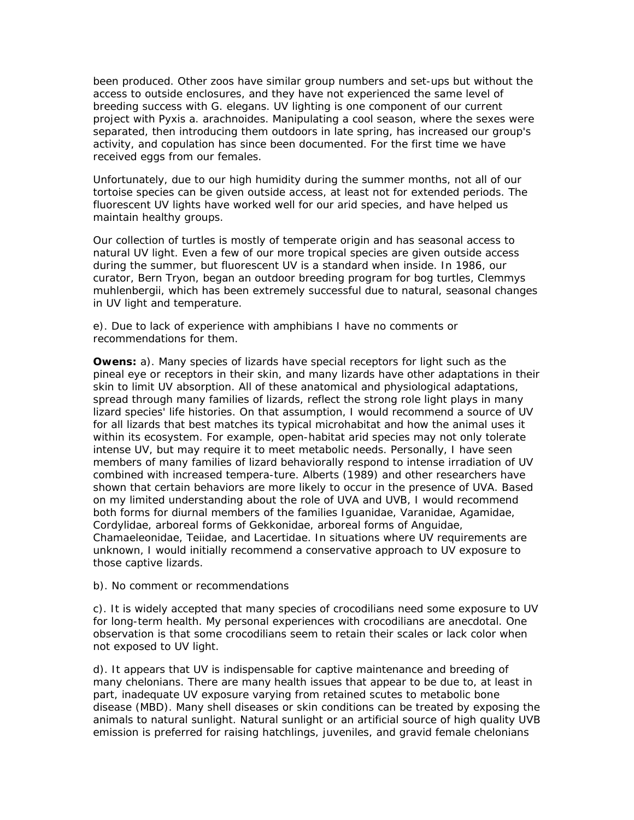been produced. Other zoos have similar group numbers and set-ups but without the access to outside enclosures, and they have not experienced the same level of breeding success with G. *elegans.* UV lighting is one component of our current project with *Pyxis a. arachnoides.* Manipulating a cool season, where the sexes were separated, then introducing them outdoors in late spring, has increased our group's activity, and copulation has since been documented. For the first time we have received eggs from our females.

Unfortunately, due to our high humidity during the summer months, not all of our tortoise species can be given outside access, at least not for extended periods. The fluorescent UV lights have worked well for our arid species, and have helped us maintain healthy groups.

Our collection of turtles is mostly of temperate origin and has seasonal access to natural UV light. Even a few of our more tropical species are given outside access during the summer, but fluorescent UV is a standard when inside. In 1986, our curator, Bern Tryon, began an outdoor breeding program for bog turtles, *Clemmys muhlenbergii,* which has been extremely successful due to natural, seasonal changes in UV light and temperature.

e). Due to lack of experience with amphibians I have no comments or recommendations for them.

**Owens:** a). Many species of lizards have special receptors for light such as the pineal eye or receptors in their skin, and many lizards have other adaptations in their skin to limit UV absorption. All of these anatomical and physiological adaptations, spread through many families of lizards, reflect the strong role light plays in many lizard species' life histories. On that assumption, I would recommend a source of UV for all lizards that best matches its typical microhabitat and how the animal uses it within its ecosystem. For example, open-habitat arid species may not only tolerate intense UV, but may require it to meet metabolic needs. Personally, I have seen members of many families of lizard behaviorally respond to intense irradiation of UV combined with increased tempera-ture. Alberts (1989) and other researchers have shown that certain behaviors are more likely to occur in the presence of UVA. Based on my limited understanding about the role of UVA and UVB, I would recommend both forms for diurnal members of the families *Iguanidae, Varanidae, Agamidae, Cordylidae,* arboreal forms of *Gekkonidae,* arboreal forms of *Anguidae, Chamaeleonidae, Teiidae,* and *Lacertidae.* In situations where UV requirements are unknown, I would initially recommend a conservative approach to UV exposure to those captive lizards.

b). No comment or recommendations

c). It is widely accepted that many species of crocodilians need some exposure to UV for long-term health. My personal experiences with crocodilians are anecdotal. One observation is that some crocodilians seem to retain their scales or lack color when not exposed to UV light.

d). It appears that UV is indispensable for captive maintenance and breeding of many chelonians. There are many health issues that appear to be due to, at least in part, inadequate UV exposure varying from retained scutes to metabolic bone disease (MBD). Many shell diseases or skin conditions can be treated by exposing the animals to natural sunlight. Natural sunlight or an artificial source of high quality UVB emission is preferred for raising hatchlings, juveniles, and gravid female chelonians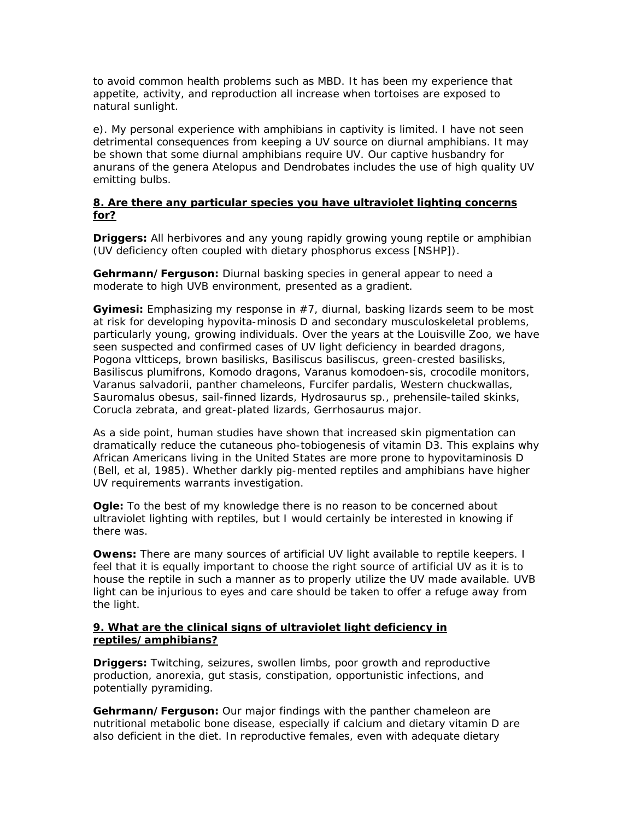to avoid common health problems such as MBD. It has been my experience that appetite, activity, and reproduction all increase when tortoises are exposed to natural sunlight.

e). My personal experience with amphibians in captivity is limited. I have not seen detrimental consequences from keeping a UV source on diurnal amphibians. It may be shown that some diurnal amphibians require UV. Our captive husbandry for anurans of the genera *Atelopus* and *Dendrobates* includes the use of high quality UV emitting bulbs.

#### **8. Are there any particular species you have ultraviolet lighting concerns for?**

**Driggers:** All herbivores and any young rapidly growing young reptile or amphibian (UV deficiency often coupled with dietary phosphorus excess [NSHP]).

**Gehrmann/Ferguson:** Diurnal basking species in general appear to need a moderate to high UVB environment, presented as a gradient.

**Gyimesi:** Emphasizing my response in #7, diurnal, basking lizards seem to be most at risk for developing hypovita-minosis D and secondary musculoskeletal problems, particularly young, growing individuals. Over the years at the Louisville Zoo, we have seen suspected and confirmed cases of UV light deficiency in bearded dragons, *Pogona vltticeps,* brown basilisks, *Basiliscus basiliscus,* green-crested basilisks, *Basiliscus plumifrons,* Komodo dragons, *Varanus komodoen-sis,* crocodile monitors, *Varanus salvadorii,* panther chameleons, *Furcifer pardalis,* Western chuckwallas, *Sauromalus obesus,* sail-finned lizards, *Hydrosaurus* sp., prehensile-tailed skinks, *Corucla zebrata,* and great-plated lizards, *Gerrhosaurus major.*

As a side point, human studies have shown that increased skin pigmentation can dramatically reduce the cutaneous pho-tobiogenesis of vitamin D3. This explains why African Americans living in the United States are more prone to hypovitaminosis D (Bell, *et al,* 1985). Whether darkly pig-mented reptiles and amphibians have higher UV requirements warrants investigation.

**Ogle:** To the best of my knowledge there is no reason to be concerned about ultraviolet lighting with reptiles, but I would certainly be interested in knowing if there was.

**Owens:** There are many sources of artificial UV light available to reptile keepers. I feel that it is equally important to choose the right source of artificial UV as it is to house the reptile in such a manner as to properly utilize the UV made available. UVB light can be injurious to eyes and care should be taken to offer a refuge away from the light.

#### **9. What are the clinical signs of ultraviolet light deficiency in reptiles/amphibians?**

**Driggers:** Twitching, seizures, swollen limbs, poor growth and reproductive production, anorexia, gut stasis, constipation, opportunistic infections, and potentially pyramiding.

**Gehrmann/Ferguson:** Our major findings with the panther chameleon are nutritional metabolic bone disease, especially if calcium and dietary vitamin D are also deficient in the diet. In reproductive females, even with adequate dietary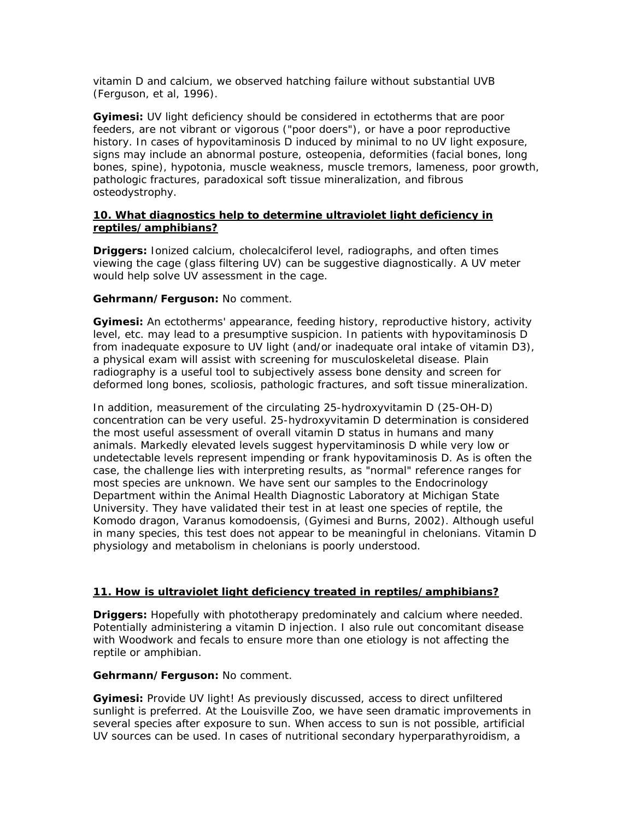vitamin D and calcium, we observed hatching failure without substantial UVB (Ferguson, *et al,* 1996).

**Gyimesi:** UV light deficiency should be considered in ectotherms that are poor feeders, are not vibrant or vigorous ("poor doers"), or have a poor reproductive history. In cases of hypovitaminosis D induced by minimal to no UV light exposure, signs may include an abnormal posture, osteopenia, deformities (facial bones, long bones, spine), hypotonia, muscle weakness, muscle tremors, lameness, poor growth, pathologic fractures, paradoxical soft tissue mineralization, and fibrous osteodystrophy.

#### **10. What diagnostics help to determine ultraviolet light deficiency in reptiles/amphibians?**

**Driggers:** Ionized calcium, cholecalciferol level, radiographs, and often times viewing the cage (glass filtering UV) can be suggestive diagnostically. A UV meter would help solve UV assessment in the cage.

#### **Gehrmann/Ferguson:** No comment.

**Gyimesi:** An ectotherms' appearance, feeding history, reproductive history, activity level, etc. may lead to a presumptive suspicion. In patients with hypovitaminosis D from inadequate exposure to UV light (and/or inadequate oral intake of vitamin D3), a physical exam will assist with screening for musculoskeletal disease. Plain radiography is a useful tool to subjectively assess bone density and screen for deformed long bones, scoliosis, pathologic fractures, and soft tissue mineralization.

In addition, measurement of the circulating 25-hydroxyvitamin D (25-OH-D) concentration can be very useful. 25-hydroxyvitamin D determination is considered the most useful assessment of overall vitamin D status in humans and many animals. Markedly elevated levels suggest hypervitaminosis D while very low or undetectable levels represent impending or frank hypovitaminosis D. As is often the case, the challenge lies with interpreting results, as "normal" reference ranges for most species are unknown. We have sent our samples to the Endocrinology Department within the Animal Health Diagnostic Laboratory at Michigan State University. They have validated their test in at least one species of reptile, the Komodo dragon, *Varanus komodoensis,* (Gyimesi and Burns, 2002). Although useful in many species, this test does not appear to be meaningful in chelonians. Vitamin D physiology and metabolism in chelonians is poorly understood.

## **11. How is ultraviolet light deficiency treated in reptiles/amphibians?**

**Driggers:** Hopefully with phototherapy predominately and calcium where needed. Potentially administering a vitamin D injection. I also rule out concomitant disease with Woodwork and fecals to ensure more than one etiology is not affecting the reptile or amphibian.

#### **Gehrmann/Ferguson:** No comment.

**Gyimesi:** Provide UV light! As previously discussed, access to direct unfiltered sunlight is preferred. At the Louisville Zoo, we have seen dramatic improvements in several species after exposure to sun. When access to sun is not possible, artificial UV sources can be used. In cases of nutritional secondary hyperparathyroidism, a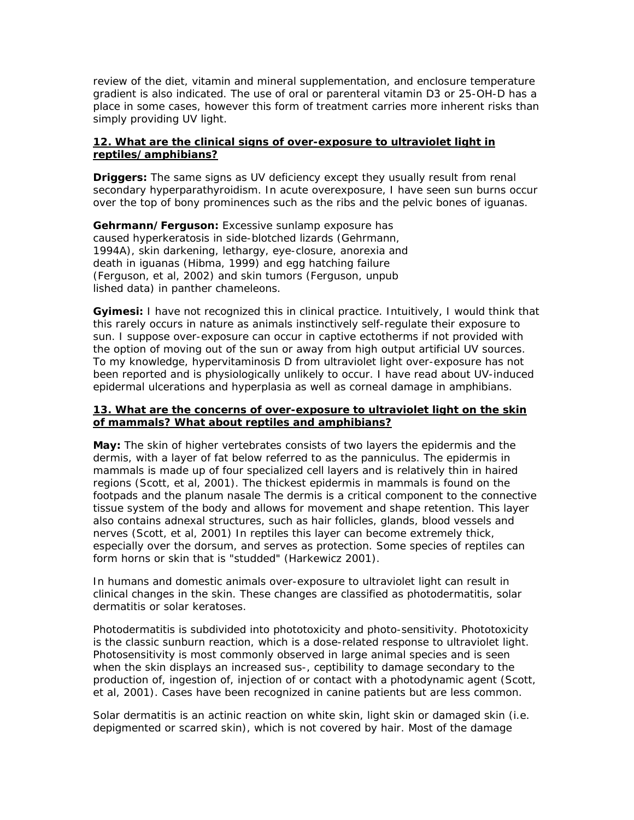review of the diet, vitamin and mineral supplementation, and enclosure temperature gradient is also indicated. The use of oral or parenteral vitamin D3 or 25-OH-D has a place in some cases, however this form of treatment carries more inherent risks than simply providing UV light.

#### **12. What are the clinical signs of over-exposure to ultraviolet light in reptiles/amphibians?**

**Driggers:** The same signs as UV deficiency except they usually result from renal secondary hyperparathyroidism. In acute overexposure, I have seen sun burns occur over the top of bony prominences such as the ribs and the pelvic bones of iguanas.

**Gehrmann/Ferguson:** Excessive sunlamp exposure has caused hyperkeratosis in side-blotched lizards (Gehrmann, 1994A), skin darkening, lethargy, eye-closure, anorexia and death in iguanas (Hibma, 1999) and egg hatching failure (Ferguson, *et al,* 2002) and skin tumors (Ferguson, unpub lished data) in panther chameleons.

**Gyimesi:** I have not recognized this in clinical practice. Intuitively, I would think that this rarely occurs in nature as animals instinctively self-regulate their exposure to sun. I suppose over-exposure can occur in captive ectotherms if not provided with the option of moving out of the sun or away from high output artificial UV sources. To my knowledge, hypervitaminosis D from ultraviolet light over-exposure has not been reported and is physiologically unlikely to occur. I have read about UV-induced epidermal ulcerations and hyperplasia as well as corneal damage in amphibians.

#### **13. What are the concerns of over-exposure to ultraviolet light on the skin of mammals? What about reptiles and amphibians?**

**May:** The skin of higher vertebrates consists of two layers the epidermis and the dermis, with a layer of fat below referred to as the panniculus. The epidermis in mammals is made up of four specialized cell layers and is relatively thin in haired regions (Scott, *et al,* 2001). The thickest epidermis in mammals is found on the footpads and the planum nasale The dermis is a critical component to the connective tissue system of the body and allows for movement and shape retention. This layer also contains adnexal structures, such as hair follicles, glands, blood vessels and nerves (Scott, *et al,* 2001) In reptiles this layer can become extremely thick, especially over the dorsum, and serves as protection. Some species of reptiles can form horns or skin that is "studded" (Harkewicz 2001).

In humans and domestic animals over-exposure to ultraviolet light can result in clinical changes in the skin. These changes are classified as photodermatitis, solar dermatitis or solar keratoses.

Photodermatitis is subdivided into phototoxicity and photo-sensitivity. Phototoxicity is the classic sunburn reaction, which is a dose-related response to ultraviolet light. Photosensitivity is most commonly observed in large animal species and is seen when the skin displays an increased sus-, ceptibility to damage secondary to the production of, ingestion of, injection of or contact with a photodynamic agent (Scott, *et al,* 2001). Cases have been recognized in canine patients but are less common.

Solar dermatitis is an actinic reaction on white skin, light skin or damaged skin (i.e. depigmented or scarred skin), which is not covered by hair. Most of the damage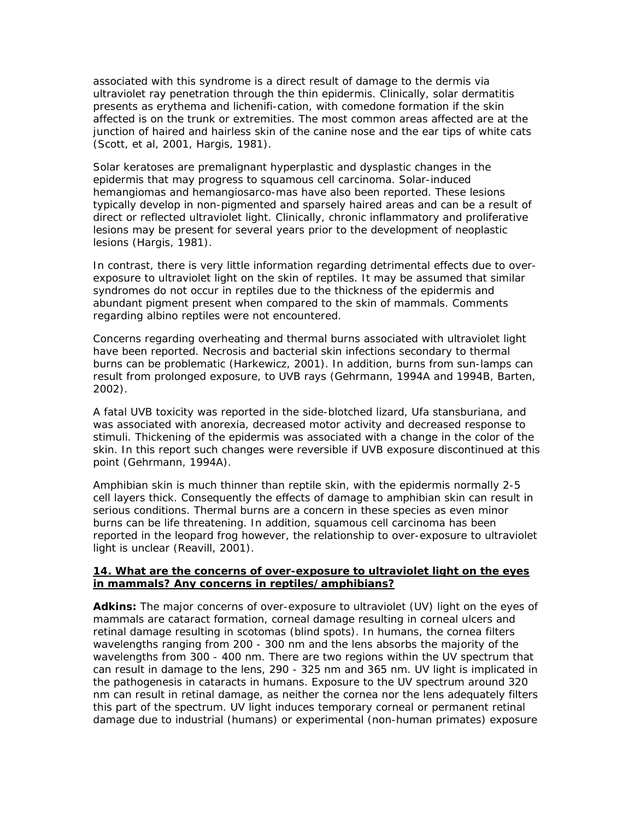associated with this syndrome is a direct result of damage to the dermis via ultraviolet ray penetration through the thin epidermis. Clinically, solar dermatitis presents as erythema and lichenifi-cation, with comedone formation if the skin affected is on the trunk or extremities. The most common areas affected are at the junction of haired and hairless skin of the canine nose and the ear tips of white cats (Scott, *et al,* 2001, Hargis, 1981).

Solar keratoses are premalignant hyperplastic and dysplastic changes in the epidermis that may progress to squamous cell carcinoma. Solar-induced hemangiomas and hemangiosarco-mas have also been reported. These lesions typically develop in non-pigmented and sparsely haired areas and can be a result of direct or reflected ultraviolet light. Clinically, chronic inflammatory and proliferative lesions may be present for several years prior to the development of neoplastic lesions (Hargis, 1981).

In contrast, there is very little information regarding detrimental effects due to overexposure to ultraviolet light on the skin of reptiles. It may be assumed that similar syndromes do not occur in reptiles due to the thickness of the epidermis and abundant pigment present when compared to the skin of mammals. Comments regarding albino reptiles were not encountered.

Concerns regarding overheating and thermal burns associated with ultraviolet light have been reported. Necrosis and bacterial skin infections secondary to thermal burns can be problematic (Harkewicz, 2001). In addition, burns from sun-lamps can result from prolonged exposure, to UVB rays (Gehrmann, 1994A and 1994B, Barten, 2002).

A fatal UVB toxicity was reported in the side-blotched lizard, *Ufa stansburiana,* and was associated with anorexia, decreased motor activity and decreased response to stimuli. Thickening of the epidermis was associated with a change in the color of the skin. In this report such changes were reversible if UVB exposure discontinued at this point (Gehrmann, 1994A).

Amphibian skin is much thinner than reptile skin, with the epidermis normally 2-5 cell layers thick. Consequently the effects of damage to amphibian skin can result in serious conditions. Thermal burns are a concern in these species as even minor burns can be life threatening. In addition, squamous cell carcinoma has been reported in the leopard frog however, the relationship to over-exposure to ultraviolet light is unclear (Reavill, 2001).

#### **14. What are the concerns of over-exposure to ultraviolet light on the eyes in mammals? Any concerns in reptiles/amphibians?**

**Adkins:** The major concerns of over-exposure to ultraviolet (UV) light on the eyes of mammals are cataract formation, corneal damage resulting in corneal ulcers and retinal damage resulting in scotomas (blind spots). In humans, the cornea filters wavelengths ranging from 200 - 300 nm and the lens absorbs the majority of the wavelengths from 300 - 400 nm. There are two regions within the UV spectrum that can result in damage to the lens, 290 - 325 nm and 365 nm. UV light is implicated in the pathogenesis in cataracts in humans. Exposure to the UV spectrum around 320 nm can result in retinal damage, as neither the cornea nor the lens adequately filters this part of the spectrum. UV light induces temporary corneal or permanent retinal damage due to industrial (humans) or experimental (non-human primates) exposure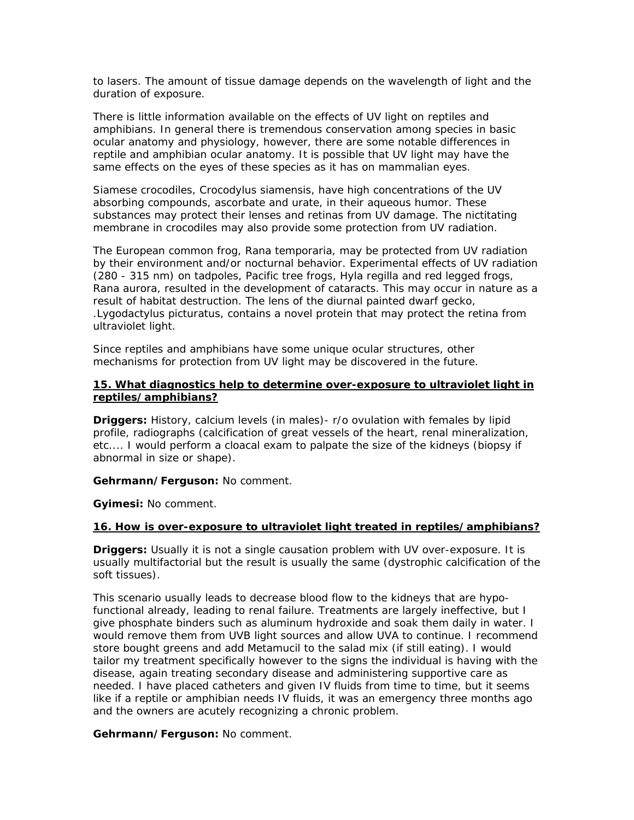to lasers. The amount of tissue damage depends on the wavelength of light and the duration of exposure.

There is little information available on the effects of UV light on reptiles and amphibians. In general there is tremendous conservation among species in basic ocular anatomy and physiology, however, there are some notable differences in reptile and amphibian ocular anatomy. It is possible that UV light may have the same effects on the eyes of these species as it has on mammalian eyes.

Siamese crocodiles, *Crocodylus siamensis,* have high concentrations of the UV absorbing compounds, ascorbate and urate, in their aqueous humor. These substances may protect their lenses and retinas from UV damage. The nictitating membrane in crocodiles may also provide some protection from UV radiation.

The European common frog, *Rana temporaria,* may be protected from UV radiation by their environment and/or nocturnal behavior. Experimental effects of UV radiation (280 - 315 nm) on tadpoles, Pacific tree frogs, *Hyla regilla* and red legged frogs, *Rana aurora,* resulted in the development of cataracts. This may occur in nature as a result of habitat destruction. The lens of the diurnal painted dwarf gecko, *.Lygodactylus picturatus,* contains a novel protein that may protect the retina from ultraviolet light.

Since reptiles and amphibians have some unique ocular structures, other mechanisms for protection from UV light may be discovered in the future.

#### **15. What diagnostics help to determine over-exposure to ultraviolet light in reptiles/amphibians?**

**Driggers:** History, calcium levels (in males)- r/o ovulation with females by lipid profile, radiographs (calcification of great vessels of the heart, renal mineralization, etc.... I would perform a cloacal exam to palpate the size of the kidneys (biopsy if abnormal in size or shape).

**Gehrmann/Ferguson:** No comment.

**Gyimesi:** No comment.

#### **16. How is over-exposure to ultraviolet light treated in reptiles/amphibians?**

**Driggers:** Usually it is not a single causation problem with UV over-exposure. It is usually multifactorial but the result is usually the same (dystrophic calcification of the soft tissues).

This scenario usually leads to decrease blood flow to the kidneys that are hypofunctional already, leading to renal failure. Treatments are largely ineffective, but I give phosphate binders such as aluminum hydroxide and soak them daily in water. I would remove them from UVB light sources and allow UVA to continue. I recommend store bought greens and add Metamucil to the salad mix (if still eating). I would tailor my treatment specifically however to the signs the individual is having with the disease, again treating secondary disease and administering supportive care as needed. I have placed catheters and given IV fluids from time to time, but it seems like if a reptile or amphibian needs IV fluids, it was an emergency three months ago and the owners are acutely recognizing a chronic problem.

**Gehrmann/Ferguson:** No comment.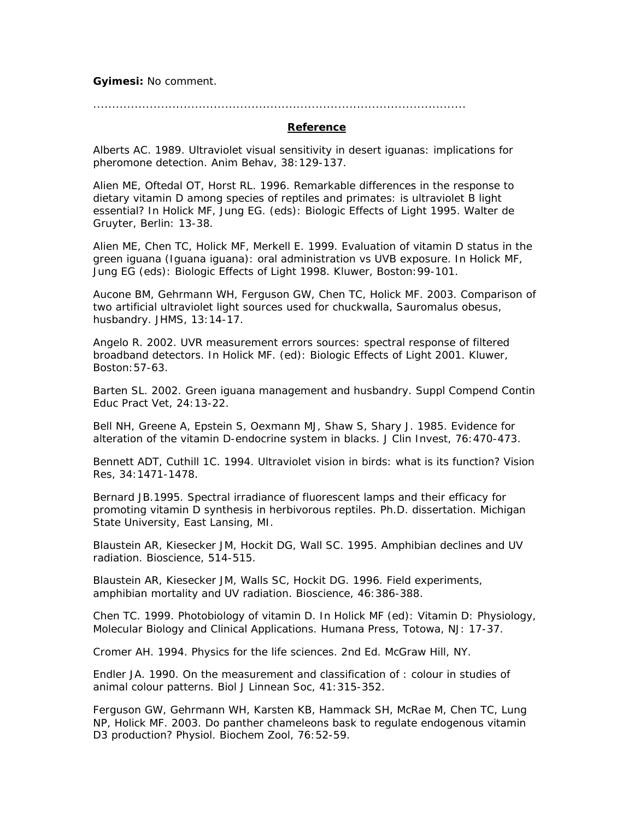**Gyimesi:** No comment.

#### ...................................................................................................

#### **Reference**

Alberts AC. 1989. Ultraviolet visual sensitivity in desert iguanas: implications for pheromone detection. Anim Behav, 38:129-137.

Alien ME, Oftedal OT, Horst RL. 1996. Remarkable differences in the response to dietary vitamin D among species of reptiles and primates: is ultraviolet B light essential? *In* Holick MF, Jung EG. (eds): Biologic Effects of Light 1995. Walter de Gruyter, Berlin: 13-38.

Alien ME, Chen TC, Holick MF, Merkell E. 1999. Evaluation of vitamin D status in the green iguana *(Iguana iguana):* oral administration vs UVB exposure. *In* Holick MF, Jung EG (eds): Biologic Effects of Light 1998. Kluwer, Boston:99-101.

Aucone BM, Gehrmann WH, Ferguson GW, Chen TC, Holick MF. 2003. Comparison of two artificial ultraviolet light sources used for chuckwalla, *Sauromalus obesus,*  husbandry. JHMS, 13:14-17.

Angelo R. 2002. UVR measurement errors sources: spectral response of filtered broadband detectors. *In* Holick MF. (ed): Biologic Effects of Light 2001. Kluwer, Boston:57-63.

Barten SL. 2002. Green iguana management and husbandry. Suppl Compend Contin Educ Pract Vet, 24:13-22.

Bell NH, Greene A, Epstein S, Oexmann MJ, Shaw S, Shary J. 1985. Evidence for alteration of the vitamin D-endocrine system in blacks. J Clin Invest, 76:470-473.

Bennett ADT, Cuthill 1C. 1994. Ultraviolet vision in birds: what is its function? Vision Res, 34:1471-1478.

Bernard JB.1995. Spectral irradiance of fluorescent lamps and their efficacy for promoting vitamin D synthesis in herbivorous reptiles. Ph.D. dissertation. Michigan State University, East Lansing, MI.

Blaustein AR, Kiesecker JM, Hockit DG, Wall SC. 1995. Amphibian declines and UV radiation. Bioscience, 514-515.

Blaustein AR, Kiesecker JM, Walls SC, Hockit DG. 1996. Field experiments, amphibian mortality and UV radiation. Bioscience, 46:386-388.

Chen TC. 1999. Photobiology of vitamin D. *In* Holick MF (ed): Vitamin D: Physiology, Molecular Biology and Clinical Applications. Humana Press, Totowa, NJ: 17-37.

Cromer AH. 1994. Physics for the life sciences. 2nd Ed. McGraw Hill, NY.

Endler JA. 1990. On the measurement and classification of : colour in studies of animal colour patterns. Biol J Linnean Soc, 41:315-352.

Ferguson GW, Gehrmann WH, Karsten KB, Hammack SH, McRae M, Chen TC, Lung NP, Holick MF. 2003. Do panther chameleons bask to regulate endogenous vitamin D3 production? Physiol. Biochem Zool, 76:52-59.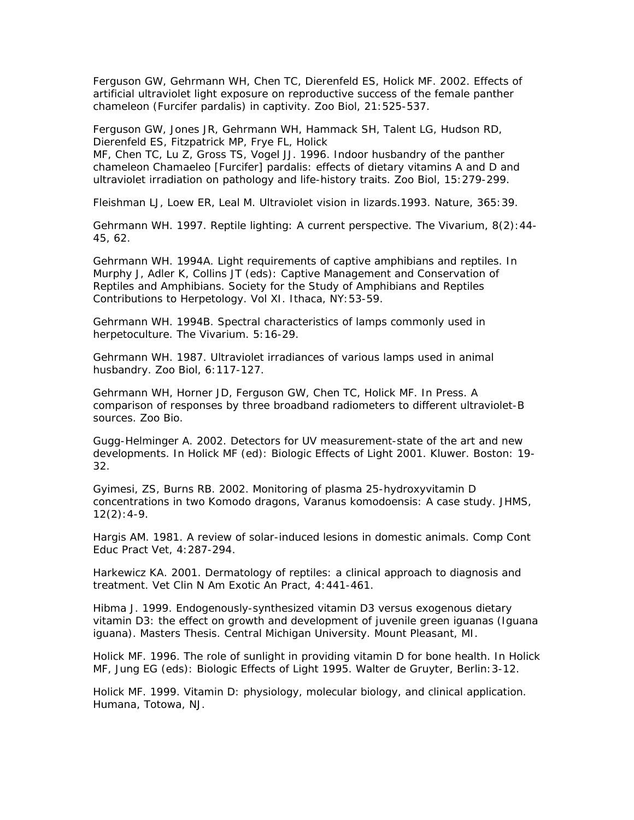Ferguson GW, Gehrmann WH, Chen TC, Dierenfeld ES, Holick MF. 2002. Effects of artificial ultraviolet light exposure on reproductive success of the female panther chameleon *(Furcifer pardalis)* in captivity. Zoo Biol, 21:525-537.

Ferguson GW, Jones JR, Gehrmann WH, Hammack SH, Talent LG, Hudson RD, Dierenfeld ES, Fitzpatrick MP, Frye FL, Holick

MF, Chen TC, Lu Z, Gross TS, Vogel JJ. 1996. Indoor husbandry of the panther chameleon *Chamaeleo [Furcifer] pardalis:* effects of dietary vitamins A and D and ultraviolet irradiation on pathology and life-history traits. Zoo Biol, 15:279-299.

Fleishman LJ, Loew ER, Leal M. Ultraviolet vision in lizards.1993. Nature, 365:39.

Gehrmann WH. 1997. Reptile lighting: A current perspective. The Vivarium, 8(2):44- 45, 62.

Gehrmann WH. 1994A. Light requirements of captive amphibians and reptiles. In Murphy J, Adler K, Collins JT (eds): Captive Management and Conservation of Reptiles and Amphibians. Society for the Study of Amphibians and Reptiles Contributions to Herpetology. Vol XI. Ithaca, NY:53-59.

Gehrmann WH. 1994B. Spectral characteristics of lamps commonly used in herpetoculture. The Vivarium. 5:16-29.

Gehrmann WH. 1987. Ultraviolet irradiances of various lamps used in animal husbandry. Zoo Biol, 6:117-127.

Gehrmann WH, Horner JD, Ferguson GW, Chen TC, Holick MF. In Press. A comparison of responses by three broadband radiometers to different ultraviolet-B sources. Zoo Bio.

Gugg-Helminger A. 2002. Detectors for UV measurement-state of the art and new developments. *In* Holick MF (ed): Biologic Effects of Light 2001. Kluwer. Boston: 19- 32.

Gyimesi, ZS, Burns RB. 2002. Monitoring of plasma 25-hydroxyvitamin D concentrations in two Komodo dragons, *Varanus komodoensis:* A case study. JHMS,  $12(2): 4-9.$ 

Hargis AM. 1981. A review of solar-induced lesions in domestic animals. Comp Cont Educ Pract Vet, 4:287-294.

Harkewicz KA. 2001. Dermatology of reptiles: a clinical approach to diagnosis and treatment. Vet Clin N Am Exotic An Pract, 4:441-461.

Hibma J. 1999. Endogenously-synthesized vitamin D3 versus exogenous dietary vitamin D3: the effect on growth and development of juvenile green iguanas *(Iguana iguana).* Masters Thesis. Central Michigan University. Mount Pleasant, MI.

Holick MF. 1996. The role of sunlight in providing vitamin D for bone health. *In* Holick MF, Jung EG (eds): Biologic Effects of Light 1995. Walter de Gruyter, Berlin:3-12.

Holick MF. 1999. Vitamin D: physiology, molecular biology, and clinical application. Humana, Totowa, NJ.